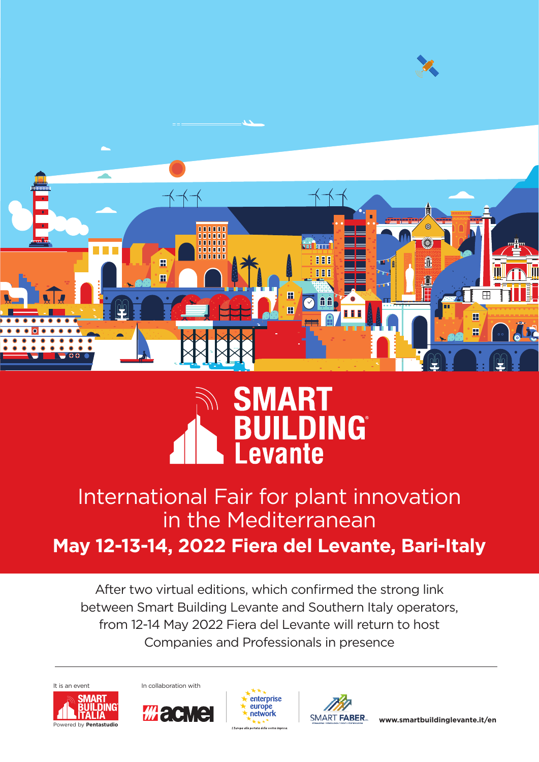



# May 12-13-14, 2022 Fiera del Levante, Bari-Italy International Fair for plant innovation in the Mediterranean

After two virtual editions, which confirmed the strong link between Smart Building Levante and Southern Italy operators, from 12-14 May 2022 Fiera del Levante will return to host Companies and Professionals in presence









**www.smartbuildinglevante.it/en**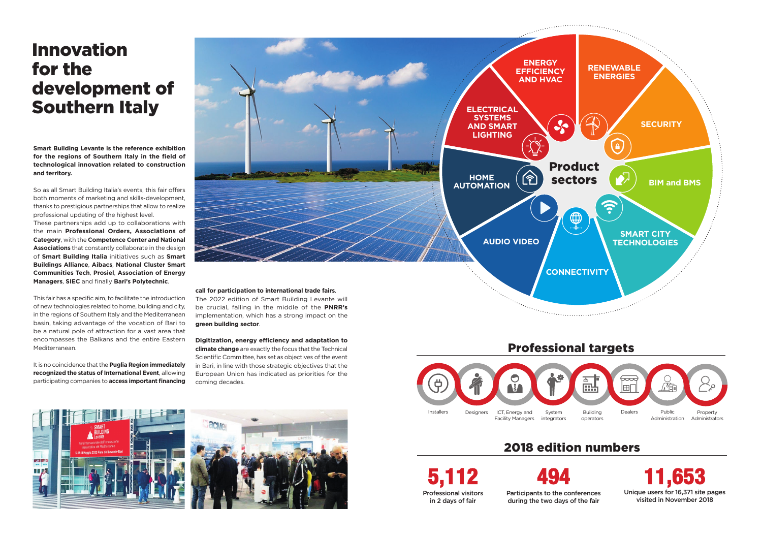**Smart Building Levante is the reference exhibition for the regions of Southern Italy in the field of technological innovation related to construction and territory.**

So as all Smart Building Italia's events, this fair offers both moments of marketing and skills-development, thanks to prestigious partnerships that allow to realize professional updating of the highest level.

These partnerships add up to collaborations with the main **Professional Orders, Associations of Category**, with the **Competence Center and National Associations** that constantly collaborate in the design of **Smart Building Italia** initiatives such as **Smart Buildings Alliance**, **Aibacs**, **National Cluster Smart Communities Tech**, **Prosiel**, **Association of Energy Managers**, **SIEC** and finally **Bari's Polytechnic**.

This fair has a specific aim, to facilitate the introduction of new technologies related to home, building and city, in the regions of Southern Italy and the Mediterranean basin, taking advantage of the vocation of Bari to be a natural pole of attraction for a vast area that encompasses the Balkans and the entire Eastern Mediterranean.

It is no coincidence that the **Puglia Region immediately recognized the status of International Event**, allowing participating companies to **access important financing** 

# Innovation for the development of Southern Italy

494

Participants to the conferences during the two days of the fair





5,112 Professional visitors in 2 days of fair

11,653 Unique users for 16,371 site pages visited in November 2018



implementation, which has a strong impact on the **green building sector**.



**Digitization, energy efficiency and adaptation to climate change** are exactly the focus that the Technical Scientific Committee, has set as objectives of the event in Bari, in line with those strategic objectives that the European Union has indicated as priorities for the coming decades.